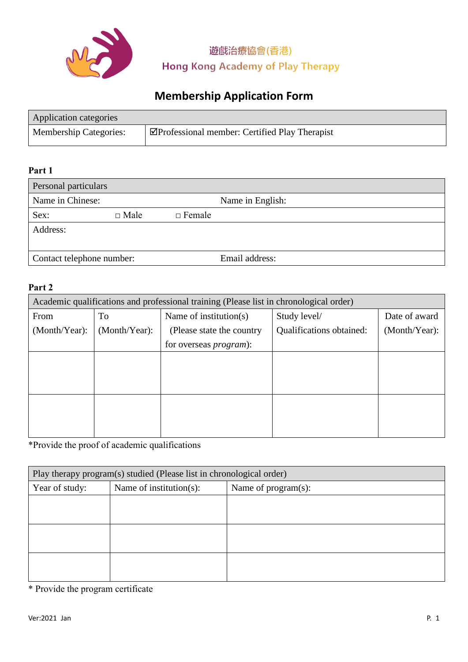

# **Membership Application Form**

| Application categories        |                                                      |
|-------------------------------|------------------------------------------------------|
| <b>Membership Categories:</b> | $\Box$ Professional member: Certified Play Therapist |

### **Part 1**

| Personal particulars                 |             |               |                |
|--------------------------------------|-------------|---------------|----------------|
| Name in Chinese:<br>Name in English: |             |               |                |
| Sex:                                 | $\Box$ Male | $\Box$ Female |                |
| Address:                             |             |               |                |
|                                      |             |               |                |
| Contact telephone number:            |             |               | Email address: |

### **Part 2**

| Academic qualifications and professional training (Please list in chronological order) |               |                                |                          |               |
|----------------------------------------------------------------------------------------|---------------|--------------------------------|--------------------------|---------------|
| From                                                                                   | To            | Name of institution(s)         | Study level/             | Date of award |
| (Month/Year):                                                                          | (Month/Year): | (Please state the country)     | Qualifications obtained: | (Month/Year): |
|                                                                                        |               | for overseas <i>program</i> ): |                          |               |
|                                                                                        |               |                                |                          |               |
|                                                                                        |               |                                |                          |               |
|                                                                                        |               |                                |                          |               |
|                                                                                        |               |                                |                          |               |
|                                                                                        |               |                                |                          |               |
|                                                                                        |               |                                |                          |               |

\*Provide the proof of academic qualifications

| Play therapy program(s) studied (Please list in chronological order) |                         |                     |  |
|----------------------------------------------------------------------|-------------------------|---------------------|--|
| Year of study:                                                       | Name of institution(s): | Name of program(s): |  |
|                                                                      |                         |                     |  |
|                                                                      |                         |                     |  |
|                                                                      |                         |                     |  |
|                                                                      |                         |                     |  |
|                                                                      |                         |                     |  |
|                                                                      |                         |                     |  |

\* Provide the program certificate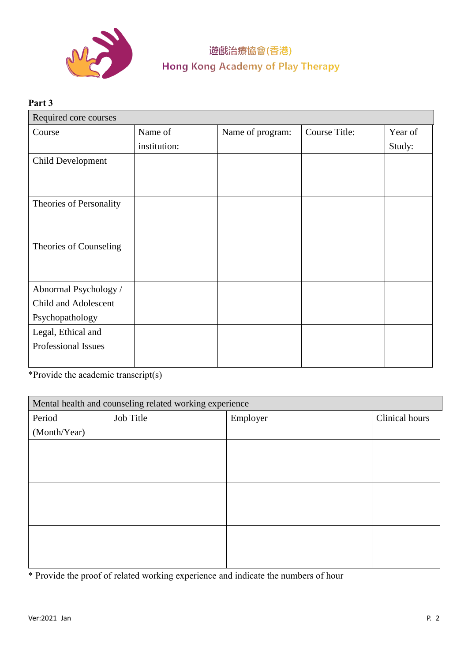

# **Part 3** Required core courses Course Name of institution: Name of program: Course Title: Year of Study: Child Development Theories of Personality Theories of Counseling Abnormal Psychology / Child and Adolescent Psychopathology Legal, Ethical and Professional Issues

\*Provide the academic transcript(s)

| Mental health and counseling related working experience |           |          |                |
|---------------------------------------------------------|-----------|----------|----------------|
| Period                                                  | Job Title | Employer | Clinical hours |
| (Month/Year)                                            |           |          |                |
|                                                         |           |          |                |
|                                                         |           |          |                |
|                                                         |           |          |                |
|                                                         |           |          |                |
|                                                         |           |          |                |
|                                                         |           |          |                |
|                                                         |           |          |                |
|                                                         |           |          |                |
|                                                         |           |          |                |

\* Provide the proof of related working experience and indicate the numbers of hour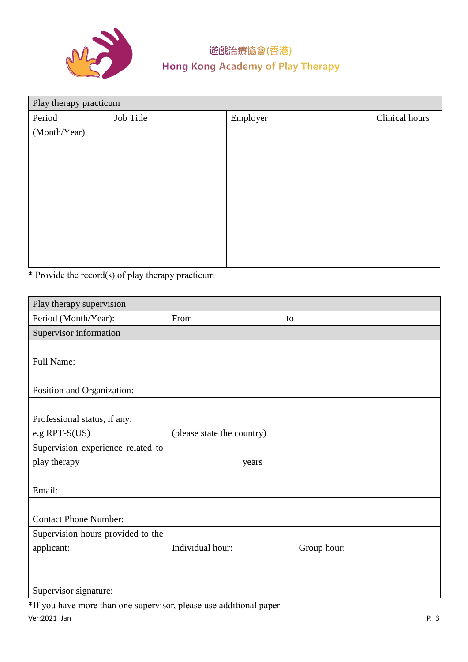

| Play therapy practicum |           |          |                |
|------------------------|-----------|----------|----------------|
| Period                 | Job Title | Employer | Clinical hours |
| (Month/Year)           |           |          |                |
|                        |           |          |                |
|                        |           |          |                |
|                        |           |          |                |
|                        |           |          |                |
|                        |           |          |                |
|                        |           |          |                |
|                        |           |          |                |
|                        |           |          |                |
|                        |           |          |                |

\* Provide the record(s) of play therapy practicum

| Play therapy supervision          |                            |             |
|-----------------------------------|----------------------------|-------------|
| Period (Month/Year):              | From                       | to          |
| Supervisor information            |                            |             |
|                                   |                            |             |
| Full Name:                        |                            |             |
|                                   |                            |             |
| Position and Organization:        |                            |             |
|                                   |                            |             |
| Professional status, if any:      |                            |             |
| e.g $RPT-S(US)$                   | (please state the country) |             |
| Supervision experience related to |                            |             |
| play therapy                      | years                      |             |
|                                   |                            |             |
| Email:                            |                            |             |
|                                   |                            |             |
| <b>Contact Phone Number:</b>      |                            |             |
| Supervision hours provided to the |                            |             |
| applicant:                        | Individual hour:           | Group hour: |
|                                   |                            |             |
|                                   |                            |             |
| Supervisor signature:             |                            |             |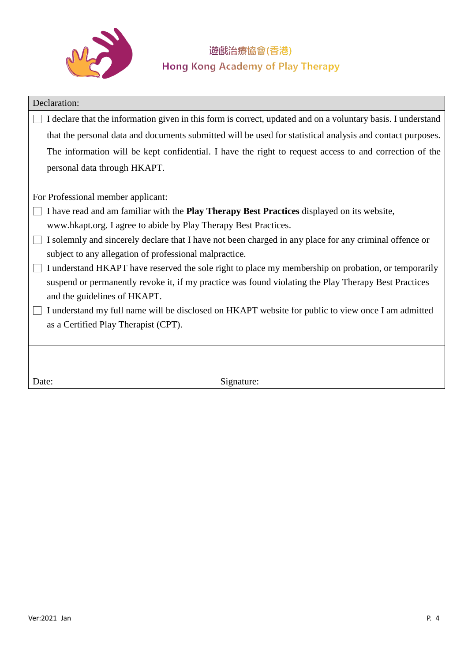

| Declaration:                                                                                                 |  |  |  |
|--------------------------------------------------------------------------------------------------------------|--|--|--|
| I declare that the information given in this form is correct, updated and on a voluntary basis. I understand |  |  |  |
| that the personal data and documents submitted will be used for statistical analysis and contact purposes.   |  |  |  |
| The information will be kept confidential. I have the right to request access to and correction of the       |  |  |  |
| personal data through HKAPT.                                                                                 |  |  |  |
|                                                                                                              |  |  |  |
| For Professional member applicant:                                                                           |  |  |  |
| I have read and am familiar with the Play Therapy Best Practices displayed on its website,                   |  |  |  |
| www.hkapt.org. I agree to abide by Play Therapy Best Practices.                                              |  |  |  |
| I solemnly and sincerely declare that I have not been charged in any place for any criminal offence or       |  |  |  |
| subject to any allegation of professional malpractice.                                                       |  |  |  |
| I understand HKAPT have reserved the sole right to place my membership on probation, or temporarily          |  |  |  |
| suspend or permanently revoke it, if my practice was found violating the Play Therapy Best Practices         |  |  |  |
| and the guidelines of HKAPT.                                                                                 |  |  |  |
| I understand my full name will be disclosed on HKAPT website for public to view once I am admitted           |  |  |  |
| as a Certified Play Therapist (CPT).                                                                         |  |  |  |
|                                                                                                              |  |  |  |
|                                                                                                              |  |  |  |
|                                                                                                              |  |  |  |
| Signature:<br>Date:                                                                                          |  |  |  |
|                                                                                                              |  |  |  |